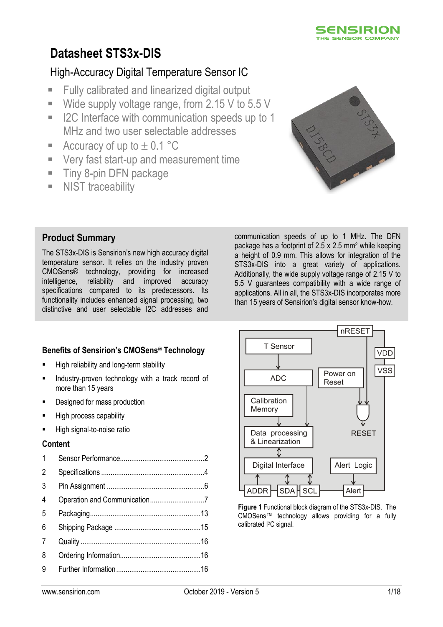

# **Datasheet STS3x-DIS**

# High-Accuracy Digital Temperature Sensor IC

- **Fully calibrated and linearized digital output**
- Wide supply voltage range, from 2.15 V to 5.5 V
- I2C Interface with communication speeds up to 1 MHz and two user selectable addresses
- Accuracy of up to  $\pm$  0.1 °C
- **Very fast start-up and measurement time**
- **Tiny 8-pin DFN package**
- **NIST** traceability



# **Product Summary**

The STS3x-DIS is Sensirion's new high accuracy digital temperature sensor. It relies on the industry proven CMOSens® technology, providing for increased intelligence, reliability and improved accuracy specifications compared to its predecessors. Its functionality includes enhanced signal processing, two distinctive and user selectable I2C addresses and

communication speeds of up to 1 MHz. The DFN package has a footprint of 2.5 x 2.5 mm<sup>2</sup> while keeping a height of 0.9 mm. This allows for integration of the STS3x-DIS into a great variety of applications. Additionally, the wide supply voltage range of 2.15 V to 5.5 V guarantees compatibility with a wide range of applications. All in all, the STS3x-DIS incorporates more than 15 years of Sensirion's digital sensor know-how.

# **Benefits of Sensirion's CMOSens® Technology**

- **High reliability and long-term stability**
- Industry-proven technology with a track record of more than 15 years
- Designed for mass production
- High process capability
- High signal-to-noise ratio

#### **Content**

| $\mathbf{1}$   |  |
|----------------|--|
| $\overline{2}$ |  |
| 3              |  |
| 4              |  |
| 5              |  |
| 6              |  |
| 7              |  |
| 8              |  |
| 9              |  |
|                |  |



**Figure 1** Functional block diagram of the STS3x-DIS. The CMOSens™ technology allows providing for a fully calibrated I2C signal.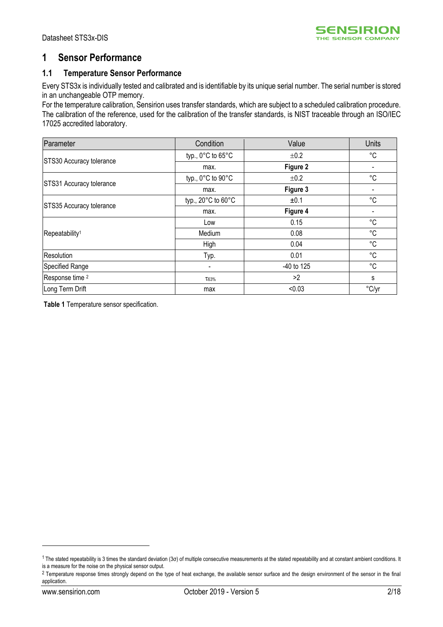

# <span id="page-1-0"></span>**1 Sensor Performance**

## **1.1 Temperature Sensor Performance**

Every STS3x is individually tested and calibrated and is identifiable by its unique serial number. The serial number is stored in an unchangeable OTP memory.

For the temperature calibration, Sensirion uses transfer standards, which are subject to a scheduled calibration procedure. The calibration of the reference, used for the calibration of the transfer standards, is NIST traceable through an ISO/IEC 17025 accredited laboratory.

| Parameter                                                                                                      | Condition                              | Value        | <b>Units</b> |
|----------------------------------------------------------------------------------------------------------------|----------------------------------------|--------------|--------------|
|                                                                                                                | typ., $0^{\circ}$ C to $65^{\circ}$ C  | ±0.2         | °C           |
|                                                                                                                | max.                                   | Figure 2     |              |
|                                                                                                                | typ., $0^{\circ}$ C to $90^{\circ}$ C  | ±0.2         | °C           |
|                                                                                                                | max.                                   | Figure 3     |              |
|                                                                                                                | typ., $20^{\circ}$ C to $60^{\circ}$ C | ±0.1         | $^{\circ}C$  |
|                                                                                                                | max.                                   | Figure 4     |              |
|                                                                                                                | Low                                    | 0.15         | $^{\circ}C$  |
| STS30 Accuracy tolerance<br>STS31 Accuracy tolerance<br>STS35 Accuracy tolerance<br>Repeatability <sup>1</sup> | Medium                                 | 0.08         | $^{\circ}C$  |
|                                                                                                                | High                                   | 0.04         | °C           |
| Resolution                                                                                                     | Typ.                                   | 0.01         | °C           |
| Specified Range                                                                                                | ۰                                      | $-40$ to 125 | °C           |
| Response time <sup>2</sup>                                                                                     | T63%                                   | >2           | s            |
| Long Term Drift                                                                                                | max                                    | < 0.03       | °C/yr        |

<span id="page-1-1"></span>**Table 1** Temperature sensor specification.

<u>.</u>

<sup>1</sup> The stated repeatability is 3 times the standard deviation (3σ) of multiple consecutive measurements at the stated repeatability and at constant ambient conditions. It is a measure for the noise on the physical sensor output.

<sup>&</sup>lt;sup>2</sup> Temperature response times strongly depend on the type of heat exchange, the available sensor surface and the design environment of the sensor in the final application.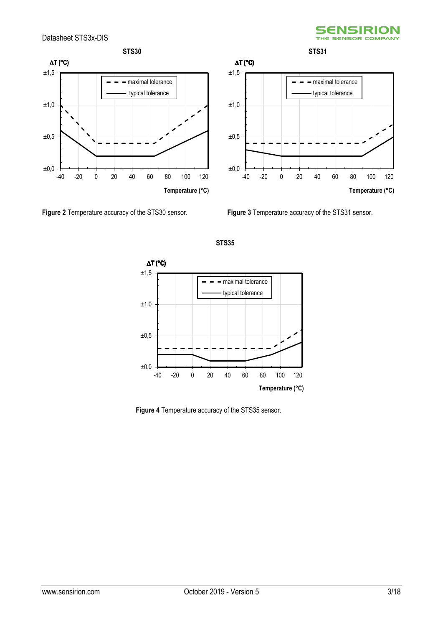



<span id="page-2-0"></span>**Figure 2** Temperature accuracy of the STS30 sensor. **Figure 3** Temperature accuracy of the STS31 sensor.

<span id="page-2-1"></span>



<span id="page-2-2"></span>**Figure 4** Temperature accuracy of the STS35 sensor.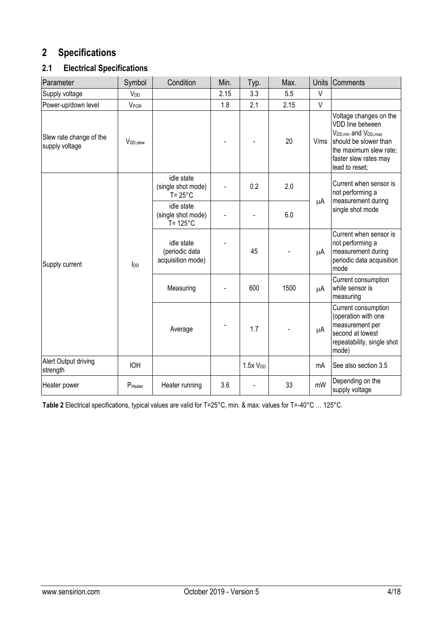# <span id="page-3-0"></span>**2 Specifications**

# **2.1 Electrical Specifications**

| Parameter                                 | Symbol               | Condition                                               | Min. | Typ.                | Max. | <b>Units</b> | Comments                                                                                                                                                                                   |
|-------------------------------------------|----------------------|---------------------------------------------------------|------|---------------------|------|--------------|--------------------------------------------------------------------------------------------------------------------------------------------------------------------------------------------|
| Supply voltage                            | V <sub>DD</sub>      |                                                         | 2.15 | 3.3                 | 5.5  | V            |                                                                                                                                                                                            |
| Power-up/down level                       | <b>VPOR</b>          |                                                         | 1.8  | 2.1                 | 2.15 | $\vee$       |                                                                                                                                                                                            |
| Slew rate change of the<br>supply voltage | V <sub>DD,slew</sub> |                                                         |      |                     | 20   | V/ms         | Voltage changes on the<br>VDD line between<br>V <sub>DD, min</sub> and V <sub>DD</sub> , max<br>should be slower than<br>the maximum slew rate;<br>faster slew rates may<br>lead to reset; |
|                                           |                      | idle state<br>(single shot mode)<br>$T = 25^{\circ}$ C  |      | 0.2                 | 2.0  |              | Current when sensor is<br>not performing a<br>measurement during                                                                                                                           |
|                                           |                      | idle state<br>(single shot mode)<br>$T = 125^{\circ}$ C |      |                     | 6.0  | μA           | single shot mode                                                                                                                                                                           |
| Supply current                            | Inn                  | idle state<br>(periodic data<br>acquisition mode)       |      | 45                  |      | μA           | Current when sensor is<br>not performing a<br>measurement during<br>periodic data acquisition<br>mode                                                                                      |
|                                           |                      | Measuring                                               |      | 600                 | 1500 | $\mu$ A      | Current consumption<br>while sensor is<br>measuring                                                                                                                                        |
|                                           |                      | Average                                                 |      | 1.7                 |      | $\mu$ A      | Current consumption<br>(operation with one<br>measurement per<br>second at lowest<br>repeatability, single shot<br>mode)                                                                   |
| Alert Output driving<br>strength          | <b>IOH</b>           |                                                         |      | 1.5xV <sub>DD</sub> |      | mA           | See also section 3.5                                                                                                                                                                       |
| Heater power                              | $P_{\text{Heater}}$  | Heater running                                          | 3.6  |                     | 33   | mW           | Depending on the<br>supply voltage                                                                                                                                                         |

<span id="page-3-1"></span>**Table 2** Electrical specifications, typical values are valid for T=25°C, min. & max. values for T=-40°C … 125°C.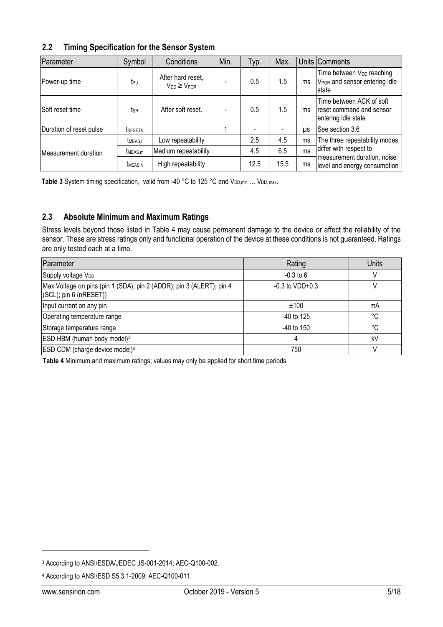# <span id="page-4-1"></span>**2.2 Timing Specification for the Sensor System**

| Parameter               | Symbol              | Conditions                                 | Min. | Typ. | Max. |           | Units Comments                                                                               |
|-------------------------|---------------------|--------------------------------------------|------|------|------|-----------|----------------------------------------------------------------------------------------------|
| Power-up time           | t <sub>PU</sub>     | After hard reset,<br>$V_{DD} \geq V_{POR}$ |      | 0.5  | 1.5  | ms        | Time between V <sub>DD</sub> reaching<br>V <sub>POR</sub> and sensor entering idle<br>Istate |
| Soft reset time         | tsr                 | After soft reset.                          |      | 0.5  | 1.5  | ms        | Time between ACK of soft<br>reset command and sensor<br>entering idle state                  |
| Duration of reset pulse | <b>TRESETN</b>      |                                            |      |      |      | <b>US</b> | See section 3.6                                                                              |
|                         | <b>TMEAS.I</b>      | Low repeatability                          |      | 2.5  | 4.5  | ms        | The three repeatability modes                                                                |
| Measurement duration    | t <sub>MEAS,m</sub> | Medium repeatability                       |      | 4.5  | 6.5  | ms        | differ with respect to                                                                       |
|                         | t <sub>MEAS,h</sub> | High repeatability                         |      | 12.5 | 15.5 | ms        | measurement duration, noise<br>level and energy consumption                                  |

<span id="page-4-2"></span>Table 3 System timing specification, valid from -40 °C to 125 °C and V<sub>DD, min</sub> ... V<sub>DD, max</sub>.

# **2.3 Absolute Minimum and Maximum Ratings**

Stress levels beyond those listed in [Table 4](#page-4-0) may cause permanent damage to the device or affect the reliability of the sensor. These are stress ratings only and functional operation of the device at these conditions is not guaranteed. Ratings are only tested each at a time.

| Parameter                                                                                      | Rating               | Units |
|------------------------------------------------------------------------------------------------|----------------------|-------|
| Supply voltage V <sub>DD</sub>                                                                 | $-0.3$ to 6          |       |
| Max Voltage on pins (pin 1 (SDA); pin 2 (ADDR); pin 3 (ALERT); pin 4<br>(SCL); pin 6 (nRESET)) | $-0.3$ to VDD $+0.3$ |       |
| Input current on any pin                                                                       | ±100                 | mA    |
| Operating temperature range                                                                    | $-40$ to 125         | °C    |
| Storage temperature range                                                                      | $-40$ to 150         | °C    |
| ESD HBM (human body model) <sup>3</sup>                                                        | 4                    | kV    |
| ESD CDM (charge device model) <sup>4</sup>                                                     | 750                  |       |

<span id="page-4-0"></span>**Table 4** Minimum and maximum ratings; values may only be applied for short time periods.

<u>.</u>

<sup>3</sup> According to ANSI/ESDA/JEDEC JS-001-2014; AEC-Q100-002.

<sup>4</sup> According to ANSI/ESD S5.3.1-2009; AEC-Q100-011.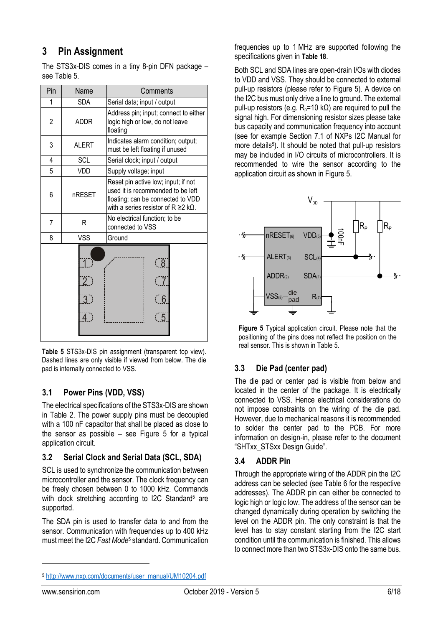# <span id="page-5-0"></span>**3 Pin Assignment**

The STS3x-DIS comes in a tiny 8-pin DFN package – see [Table 5.](#page-5-1)

| Pin | Name                                               | Comments                                                                                                                                                          |  |  |
|-----|----------------------------------------------------|-------------------------------------------------------------------------------------------------------------------------------------------------------------------|--|--|
| 1   | <b>SDA</b>                                         | Serial data; input / output                                                                                                                                       |  |  |
| 2   | <b>ADDR</b>                                        | Address pin; input; connect to either<br>logic high or low, do not leave<br>floating                                                                              |  |  |
| 3   | <b>ALERT</b>                                       | Indicates alarm condition; output;<br>must be left floating if unused                                                                                             |  |  |
| 4   | <b>SCL</b>                                         | Serial clock; input / output                                                                                                                                      |  |  |
| 5   | VDD                                                | Supply voltage; input                                                                                                                                             |  |  |
| 6   | nRESET                                             | Reset pin active low; input; if not<br>used it is recommended to be left<br>floating; can be connected to VDD<br>with a series resistor of $R \ge 2$ k $\Omega$ . |  |  |
| 7   | R                                                  | No electrical function; to be<br>connected to VSS                                                                                                                 |  |  |
| 8   | VSS                                                | Ground                                                                                                                                                            |  |  |
|     | $\overline{2}$<br>$\overline{3}$<br>$\overline{4}$ | $\overline{8}$<br>$\overline{7}$<br>$\sqrt{6}$<br>$\overline{5}$                                                                                                  |  |  |

<span id="page-5-1"></span>**Table 5** STS3x-DIS pin assignment (transparent top view). Dashed lines are only visible if viewed from below. The die pad is internally connected to VSS.

# **3.1 Power Pins (VDD, VSS)**

The electrical specifications of the STS3x-DIS are shown in [Table 2.](#page-3-1) The power supply pins must be decoupled with a 100 nF capacitor that shall be placed as close to the sensor as possible – see [Figure 5](#page-5-2) for a typical application circuit.

# **3.2 Serial Clock and Serial Data (SCL, SDA)**

SCL is used to synchronize the communication between microcontroller and the sensor. The clock frequency can be freely chosen between 0 to 1000 kHz. Commands with clock stretching according to I2C Standard<sup>5</sup> are supported.

The SDA pin is used to transfer data to and from the sensor. Communication with frequencies up to 400 kHz must meet the I2C *Fast Mod[e](#page-5-3)*<sup>5</sup> standard. Communication

frequencies up to 1 MHz are supported following the specifications given in **[Table 18](#page-11-0)**.

Both SCL and SDA lines are open-drain I/Os with diodes to VDD and VSS. They should be connected to external pull-up resistors (please refer to [Figure 5\)](#page-5-2). A device on the I2C bus must only drive a line to ground. The external pull-up resistors (e.g.  $R_p = 10 \text{ k}\Omega$ ) are required to pull the signal high. For dimensioning resistor sizes please take bus capacity and communication frequency into account (see for example Section 7.1 of NXPs I2C Manual for more detail[s](#page-5-3)<sup>5</sup>). It should be noted that pull-up resistors may be included in I/O circuits of microcontrollers. It is recommended to wire the sensor according to the application circuit as shown in [Figure 5.](#page-5-2)



<span id="page-5-2"></span>**Figure 5** Typical application circuit. Please note that the positioning of the pins does not reflect the position on the real sensor. This is shown i[n Table 5.](#page-5-1)

# **3.3 Die Pad (center pad)**

The die pad or center pad is visible from below and located in the center of the package. It is electrically connected to VSS. Hence electrical considerations do not impose constraints on the wiring of the die pad. However, due to mechanical reasons it is recommended to solder the center pad to the PCB. For more information on design-in, please refer to the document "SHTxx\_STSxx Design Guide".

# **3.4 ADDR Pin**

<span id="page-5-3"></span>Through the appropriate wiring of the ADDR pin the I2C address can be selected (see [Table 6](#page-6-3) for the respective addresses). The ADDR pin can either be connected to logic high or logic low. The address of the sensor can be changed dynamically during operation by switching the level on the ADDR pin. The only constraint is that the level has to stay constant starting from the I2C start condition until the communication is finished. This allows to connect more than two STS3x-DIS onto the same bus.

<u>.</u>

<sup>5</sup> [http://www.nxp.com/documents/user\\_manual/UM10204.pdf](http://www.nxp.com/documents/user_manual/UM10204.pdf)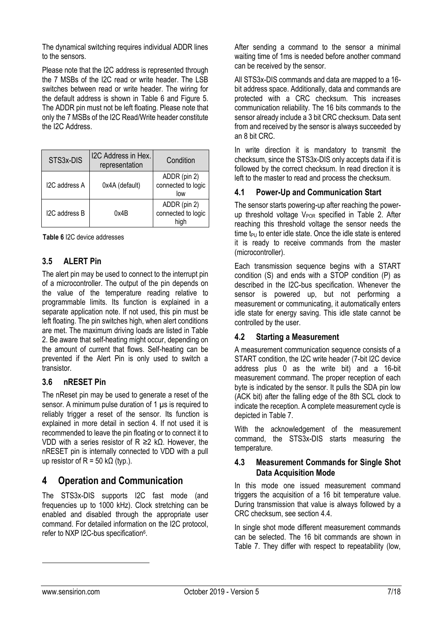The dynamical switching requires individual ADDR lines to the sensors.

Please note that the I2C address is represented through the 7 MSBs of the I2C read or write header. The LSB switches between read or write header. The wiring for the default address is shown in [Table 6](#page-6-3) and [Figure 5.](#page-5-2) The ADDR pin must not be left floating. Please note that only the 7 MSBs of the I2C Read/Write header constitute the I2C Address.

| STS3x-DIS     | I2C Address in Hex.<br>representation | Condition                                  |
|---------------|---------------------------------------|--------------------------------------------|
| I2C address A | 0x4A (default)                        | ADDR (pin 2)<br>connected to logic<br>low  |
| I2C address B | 0x4B                                  | ADDR (pin 2)<br>connected to logic<br>high |

<span id="page-6-3"></span>**Table 6** I2C device addresses

# <span id="page-6-1"></span>**3.5 ALERT Pin**

The alert pin may be used to connect to the interrupt pin of a microcontroller. The output of the pin depends on the value of the temperature reading relative to programmable limits. Its function is explained in a separate application note. If not used, this pin must be left floating. The pin switches high, when alert conditions are met. The maximum driving loads are listed in [Table](#page-3-1)  [2.](#page-3-1) Be aware that self-heating might occur, depending on the amount of current that flows. Self-heating can be prevented if the Alert Pin is only used to switch a transistor.

# <span id="page-6-2"></span>**3.6 nRESET Pin**

The nReset pin may be used to generate a reset of the sensor. A minimum pulse duration of 1 µs is required to reliably trigger a reset of the sensor. Its function is explained in more detail in section [4.](#page-6-0) If not used it is recommended to leave the pin floating or to connect it to VDD with a series resistor of R ≥2 kΩ. However, the nRESET pin is internally connected to VDD with a pull up resistor of R = 50 k $\Omega$  (typ.).

# <span id="page-6-0"></span>**4 Operation and Communication**

The STS3x-DIS supports I2C fast mode (and frequencies up to 1000 kHz). Clock stretching can be enabled and disabled through the appropriate user command. For detailed information on the I2C protocol, refer to NXP I2C-bus specification<sup>6</sup>.

After sending a command to the sensor a minimal waiting time of 1ms is needed before another command can be received by the sensor.

All STS3x-DIS commands and data are mapped to a 16 bit address space. Additionally, data and commands are protected with a CRC checksum. This increases communication reliability. The 16 bits commands to the sensor already include a 3 bit CRC checksum. Data sent from and received by the sensor is always succeeded by an 8 bit CRC.

In write direction it is mandatory to transmit the checksum, since the STS3x-DIS only accepts data if it is followed by the correct checksum. In read direction it is left to the master to read and process the checksum.

## <span id="page-6-5"></span>**4.1 Power-Up and Communication Start**

The sensor starts powering-up after reaching the powerup threshold voltage  $V_{POR}$  specified in [Table 2.](#page-3-1) After reaching this threshold voltage the sensor needs the time  $t_{\text{PU}}$  to enter idle state. Once the idle state is entered it is ready to receive commands from the master (microcontroller).

Each transmission sequence begins with a START condition (S) and ends with a STOP condition (P) as described in the I2C-bus specification. Whenever the sensor is powered up, but not performing a measurement or communicating, it automatically enters idle state for energy saving. This idle state cannot be controlled by the user.

# **4.2 Starting a Measurement**

A measurement communication sequence consists of a START condition, the I2C write header (7-bit I2C device address plus 0 as the write bit) and a 16-bit measurement command. The proper reception of each byte is indicated by the sensor. It pulls the SDA pin low (ACK bit) after the falling edge of the 8th SCL clock to indicate the reception. A complete measurement cycle is depicted i[n Table 7.](#page-7-0)

With the acknowledgement of the measurement command, the STS3x-DIS starts measuring the temperature.

#### **4.3 Measurement Commands for Single Shot Data Acquisition Mode**

In this mode one issued measurement command triggers the acquisition of a 16 bit temperature value. During transmission that value is always followed by a CRC checksum, see section [4.4.](#page-7-1)

<span id="page-6-4"></span>In single shot mode different measurement commands can be selected. The 16 bit commands are shown in [Table 7.](#page-7-0) They differ with respect to repeatability (low,

-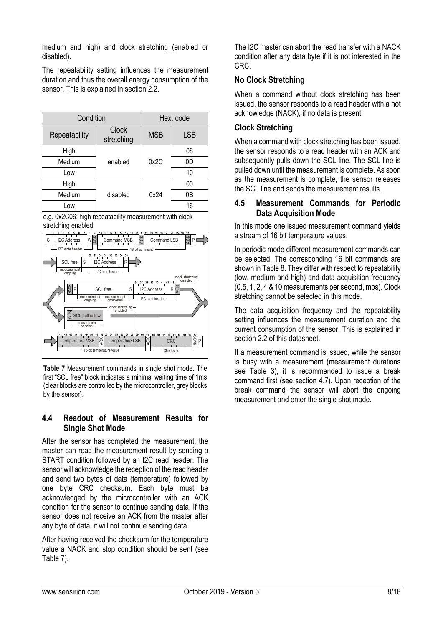medium and high) and clock stretching (enabled or disabled).

The repeatability setting influences the measurement duration and thus the overall energy consumption of the sensor. This is explained in section [2.2.](#page-4-1)



<span id="page-7-0"></span>**Table 7** Measurement commands in single shot mode. The first "SCL free" block indicates a minimal waiting time of 1ms (clear blocks are controlled by the microcontroller, grey blocks by the sensor).

# <span id="page-7-1"></span>**4.4 Readout of Measurement Results for Single Shot Mode**

After the sensor has completed the measurement, the master can read the measurement result by sending a START condition followed by an I2C read header. The sensor will acknowledge the reception of the read header and send two bytes of data (temperature) followed by one byte CRC checksum. Each byte must be acknowledged by the microcontroller with an ACK condition for the sensor to continue sending data. If the sensor does not receive an ACK from the master after any byte of data, it will not continue sending data.

After having received the checksum for the temperature value a NACK and stop condition should be sent (see [Table 7\)](#page-7-0).

The I2C master can abort the read transfer with a NACK condition after any data byte if it is not interested in the CRC.

## **No Clock Stretching**

When a command without clock stretching has been issued, the sensor responds to a read header with a not acknowledge (NACK), if no data is present.

## **Clock Stretching**

When a command with clock stretching has been issued, the sensor responds to a read header with an ACK and subsequently pulls down the SCL line. The SCL line is pulled down until the measurement is complete. As soon as the measurement is complete, the sensor releases the SCL line and sends the measurement results.

### **4.5 Measurement Commands for Periodic Data Acquisition Mode**

In this mode one issued measurement command yields a stream of 16 bit temperature values.

In periodic mode different measurement commands can be selected. The corresponding 16 bit commands are shown i[n Table 8.](#page-8-0) They differ with respect to repeatability (low, medium and high) and data acquisition frequency (0.5, 1, 2, 4 & 10 measurements per second, mps). Clock stretching cannot be selected in this mode.

The data acquisition frequency and the repeatability setting influences the measurement duration and the current consumption of the sensor. This is explained in section [2.2](#page-4-1) of this datasheet.

If a measurement command is issued, while the sensor is busy with a measurement (measurement durations see [Table 3\)](#page-4-2), it is recommended to issue a break command first (see section [4.7\)](#page-8-1). Upon reception of the break command the sensor will abort the ongoing measurement and enter the single shot mode.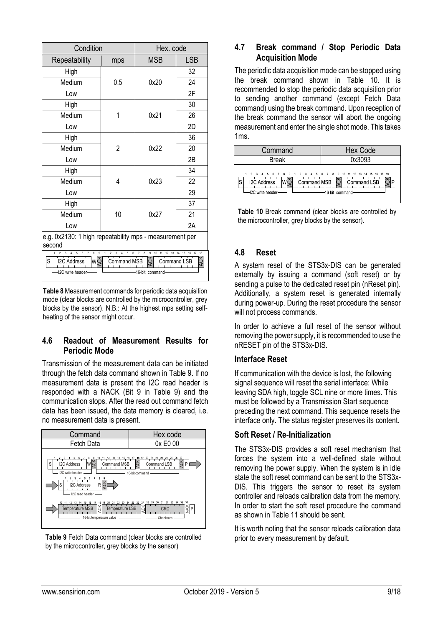| Condition                                                                                                                                                                                                                                |                | Hex. code  |            |  |
|------------------------------------------------------------------------------------------------------------------------------------------------------------------------------------------------------------------------------------------|----------------|------------|------------|--|
| Repeatability                                                                                                                                                                                                                            | mps            | <b>MSB</b> | <b>LSB</b> |  |
| High                                                                                                                                                                                                                                     |                |            | 32         |  |
| Medium                                                                                                                                                                                                                                   | 0.5            | 0x20       | 24         |  |
| Low                                                                                                                                                                                                                                      |                |            | 2F         |  |
| High                                                                                                                                                                                                                                     |                |            | 30         |  |
| Medium                                                                                                                                                                                                                                   | 1              | 0x21       | 26         |  |
| Low                                                                                                                                                                                                                                      |                |            | 2D         |  |
| High                                                                                                                                                                                                                                     |                |            | 36         |  |
| Medium                                                                                                                                                                                                                                   | $\overline{2}$ | 0x22       | 20         |  |
| Low                                                                                                                                                                                                                                      |                |            | 2B         |  |
| High                                                                                                                                                                                                                                     |                |            | 34         |  |
| Medium                                                                                                                                                                                                                                   | 4              | 0x23       | 22         |  |
| Low                                                                                                                                                                                                                                      |                |            | 29         |  |
| High                                                                                                                                                                                                                                     |                |            | 37         |  |
| Medium                                                                                                                                                                                                                                   | 10             | 0x27       | 21         |  |
| Low                                                                                                                                                                                                                                      |                |            | 2A         |  |
| e.g. 0x2130: 1 high repeatability mps - measurement per                                                                                                                                                                                  |                |            |            |  |
| second                                                                                                                                                                                                                                   |                |            |            |  |
| 18<br>5<br>6<br>$\overline{7}$<br>8<br>9<br>$\overline{2}$<br>3<br>8<br>9<br>10<br>3<br>5<br>6<br>11<br>13<br>15<br>16<br>17<br><b>ACK</b><br>wğ<br>S<br>I2C Address<br>Command MSB<br>Command LSB<br>I2C write header<br>16-bit command |                |            |            |  |

<span id="page-8-0"></span>**Table 8**Measurement commands for periodic data acquisition mode (clear blocks are controlled by the microcontroller, grey blocks by the sensor). N.B.: At the highest mps setting selfheating of the sensor might occur.

#### **4.6 Readout of Measurement Results for Periodic Mode**

Transmission of the measurement data can be initiated through the fetch data command shown in [Table 9.](#page-8-2) If no measurement data is present the I2C read header is responded with a NACK (Bit 9 in [Table 9\)](#page-8-2) and the communication stops. After the read out command fetch data has been issued, the data memory is cleared, i.e. no measurement data is present.



<span id="page-8-2"></span>**Table 9** Fetch Data command (clear blocks are controlled by the microcontroller, grey blocks by the sensor)

# <span id="page-8-1"></span>**4.7 Break command / Stop Periodic Data Acquisition Mode**

The periodic data acquisition mode can be stopped using the break command shown in [Table 10.](#page-8-3) It is recommended to stop the periodic data acquisition prior to sending another command (except Fetch Data command) using the break command. Upon reception of the break command the sensor will abort the ongoing measurement and enter the single shot mode. This takes 1ms.

| Command                                                                                                         | <b>Hex Code</b>                                           |
|-----------------------------------------------------------------------------------------------------------------|-----------------------------------------------------------|
| <b>Break</b>                                                                                                    | 0x3093                                                    |
| 1 2 3 4 5 6 7 8 9 1 2 3 4 5 6 7 8 9 10 11 12 13 14 15 16 17 18<br><b>I2C Address</b><br>S<br>-I2C write header- | Command MSB $\ddot{\odot}$ Command LSB<br>-16 bit command |

<span id="page-8-3"></span>**Table 10** Break command (clear blocks are controlled by the microcontroller, grey blocks by the sensor).

# **4.8 Reset**

A system reset of the STS3x-DIS can be generated externally by issuing a command (soft reset) or by sending a pulse to the dedicated reset pin (nReset pin). Additionally, a system reset is generated internally during power-up. During the reset procedure the sensor will not process commands.

In order to achieve a full reset of the sensor without removing the power supply, it is recommended to use the nRESET pin of the STS3x-DIS.

# **Interface Reset**

If communication with the device is lost, the following signal sequence will reset the serial interface: While leaving SDA high, toggle SCL nine or more times. This must be followed by a Transmission Start sequence preceding the next command. This sequence resets the interface only. The status register preserves its content.

#### **Soft Reset / Re-Initialization**

The STS3x-DIS provides a soft reset mechanism that forces the system into a well-defined state without removing the power supply. When the system is in idle state the soft reset command can be sent to the STS3x-DIS. This triggers the sensor to reset its system controller and reloads calibration data from the memory. In order to start the soft reset procedure the command as shown i[n Table 11](#page-9-0) should be sent.

It is worth noting that the sensor reloads calibration data prior to every measurement by default.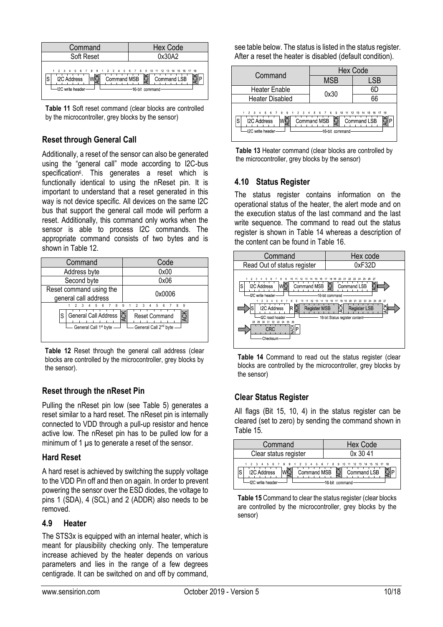

<span id="page-9-0"></span>**Table 11** Soft reset command (clear blocks are controlled by the microcontroller, grey blocks by the sensor)

# **Reset through General Call**

Additionally, a reset of the sensor can also be generated using the "general call" mode according to I2C-bus specification<sup>6</sup>[.](#page-6-4) This generates a reset which is functionally identical to using the nReset pin. It is important to understand that a reset generated in this way is not device specific. All devices on the same I2C bus that support the general call mode will perform a reset. Additionally, this command only works when the sensor is able to process I2C commands. The appropriate command consists of two bytes and is shown in [Table 12.](#page-9-1)

| Command                                                                          | Code                                                                                       |  |
|----------------------------------------------------------------------------------|--------------------------------------------------------------------------------------------|--|
| Address byte                                                                     | 0x00                                                                                       |  |
| Second byte                                                                      | 0x06                                                                                       |  |
| Reset command using the<br>general call address                                  | 0x0006                                                                                     |  |
| $\mathbf{g}$<br>General Call Address<br>S<br>General Call 1 <sup>st</sup> byte - | 9<br>9<br><b>ACK</b><br>ACK<br><b>Reset Command</b><br>General Call 2 <sup>nd</sup> byte - |  |

<span id="page-9-1"></span>Table 12 Reset through the general call address (clear blocks are controlled by the microcontroller, grey blocks by the sensor).

# **Reset through the nReset Pin**

Pulling the nReset pin low (see [Table 5\)](#page-5-1) generates a reset similar to a hard reset. The nReset pin is internally connected to VDD through a pull-up resistor and hence active low. The nReset pin has to be pulled low for a minimum of 1  $\mu$ s to generate a reset of the sensor.

# **Hard Reset**

A hard reset is achieved by switching the supply voltage to the VDD Pin off and then on again. In order to prevent powering the sensor over the ESD diodes, the voltage to pins 1 (SDA), 4 (SCL) and 2 (ADDR) also needs to be removed.

#### <span id="page-9-4"></span>**4.9 Heater**

The STS3x is equipped with an internal heater, which is meant for plausibility checking only. The temperature increase achieved by the heater depends on various parameters and lies in the range of a few degrees centigrade. It can be switched on and off by command, see table below. The status is listed in the status register. After a reset the heater is disabled (default condition).



**Table 13** Heater command (clear blocks are controlled by the microcontroller, grey blocks by the sensor)

# **4.10 Status Register**

The status register contains information on the operational status of the heater, the alert mode and on the execution status of the last command and the last write sequence. The command to read out the status register is shown in [Table 14](#page-9-2) whereas a description of the content can be found in [Table 16.](#page-10-0)



<span id="page-9-2"></span>**Table 14** Command to read out the status register (clear blocks are controlled by the microcontroller, grey blocks by the sensor)

# **Clear Status Register**

All flags (Bit 15, 10, 4) in the status register can be cleared (set to zero) by sending the command shown in [Table 15.](#page-9-3)

| Command                                                                                                                   | <b>Hex Code</b>                 |
|---------------------------------------------------------------------------------------------------------------------------|---------------------------------|
| Clear status register                                                                                                     | 0x3041                          |
| 1 2 3 4 5 6 7 8 9 1 2 3 4 5 6 7 8 9 10 11 12 13 14 15 16 17 18<br>Command MSB<br><b>I2C Address</b><br>-I2C write header- | Command LSB<br>-16-bit command- |

<span id="page-9-3"></span>**Table 15** Command to clear the status register (clear blocks are controlled by the microcontroller, grey blocks by the sensor)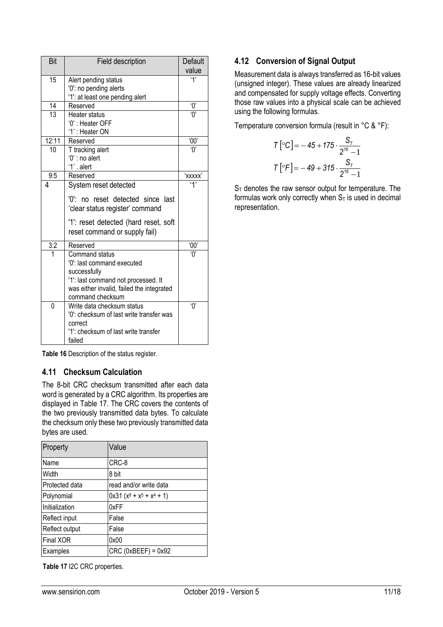| Bit      | Field description                                                                                                                                                    | Default                                       |
|----------|----------------------------------------------------------------------------------------------------------------------------------------------------------------------|-----------------------------------------------|
|          |                                                                                                                                                                      | value                                         |
| 15       | Alert pending status                                                                                                                                                 | '1'                                           |
|          | '0': no pending alerts                                                                                                                                               |                                               |
|          | '1': at least one pending alert                                                                                                                                      |                                               |
| 14       | Reserved                                                                                                                                                             | ۰Ό                                            |
| 13       | Heater status                                                                                                                                                        | $^{\prime}$ () <sup><math>\prime</math></sup> |
|          | '0' : Heater OFF                                                                                                                                                     |                                               |
|          | '1': Heater ON                                                                                                                                                       |                                               |
| 12:11    | Reserved                                                                                                                                                             | '00'                                          |
| 10       | T tracking alert                                                                                                                                                     | $\overline{0}$                                |
|          | '0' : no alert                                                                                                                                                       |                                               |
|          | '1' alert                                                                                                                                                            |                                               |
| 9:5      | Reserved                                                                                                                                                             | 'xxxxx'                                       |
| 4        | System reset detected                                                                                                                                                | '1'                                           |
|          | '0': no reset detected since last<br>'clear status register' command                                                                                                 |                                               |
|          | '1': reset detected (hard reset, soft<br>reset command or supply fail)                                                                                               |                                               |
| 3:2      | Reserved                                                                                                                                                             | '00'                                          |
|          | Command status<br>'0': last command executed<br>successfully<br>'1': last command not processed. It<br>was either invalid, failed the integrated<br>command checksum | 'በ'                                           |
| $\Omega$ | Write data checksum status                                                                                                                                           | 'በ'                                           |
|          | '0': checksum of last write transfer was                                                                                                                             |                                               |
|          | correct                                                                                                                                                              |                                               |
|          | '1': checksum of last write transfer<br>failed                                                                                                                       |                                               |

<span id="page-10-0"></span>**Table 16** Description of the status register.

# **4.11 Checksum Calculation**

The 8-bit CRC checksum transmitted after each data word is generated by a CRC algorithm. Its properties are displayed in [Table 17.](#page-10-1) The CRC covers the contents of the two previously transmitted data bytes. To calculate the checksum only these two previously transmitted data bytes are used.

| Property       | Value                       |
|----------------|-----------------------------|
| Name           | CRC-8                       |
| Width          | 8 bit                       |
| Protected data | read and/or write data      |
| Polynomial     | $0x31 (x8 + x5 + x4 + 1)$   |
| Initialization | 0xFF                        |
| Reflect input  | False                       |
| Reflect output | False                       |
| Final XOR      | 0x00                        |
| Examples       | $CRC$ ( $0xBEEF$ ) = $0x92$ |

<span id="page-10-1"></span>**Table 17** I2C CRC properties.

## **4.12 Conversion of Signal Output**

Measurement data is always transferred as 16-bit values (unsigned integer). These values are already linearized and compensated for supply voltage effects. Converting those raw values into a physical scale can be achieved using the following formulas.

Temperature conversion formula (result in °C & °F):

$$
T\left[ {}^{\circ}C \right] = -45 + 175 \cdot \frac{S_{T}}{2^{16} - 1}
$$

$$
T\left[ {}^{\circ}F \right] = -49 + 315 \cdot \frac{S_{T}}{2^{16} - 1}
$$

 $S_T$  denotes the raw sensor output for temperature. The formulas work only correctly when  $S_T$  is used in decimal representation.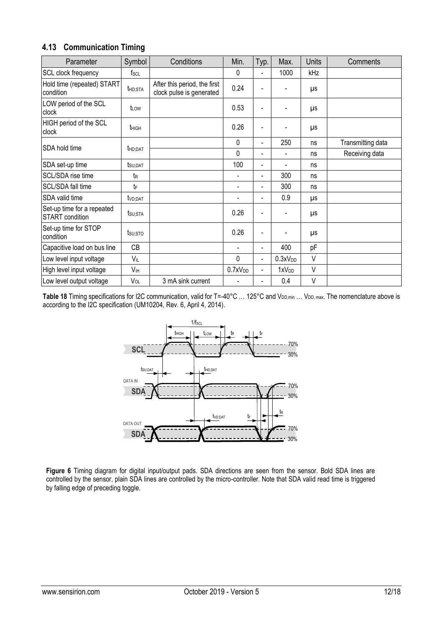|  | 4.13 Communication Timing |  |  |
|--|---------------------------|--|--|
|--|---------------------------|--|--|

| Parameter                                            | Symbol              | Conditions                                               | Min.                | Typ.                     | Max.                | <b>Units</b> | Comments          |
|------------------------------------------------------|---------------------|----------------------------------------------------------|---------------------|--------------------------|---------------------|--------------|-------------------|
| SCL clock frequency                                  | $f_{\rm SCL}$       |                                                          | $\Omega$            |                          | 1000                | kHz          |                   |
| Hold time (repeated) START<br>condition              | thd:STA             | After this period, the first<br>clock pulse is generated | 0.24                |                          |                     | μs           |                   |
| LOW period of the SCL<br>clock                       | t <sub>LOW</sub>    |                                                          | 0.53                | $\blacksquare$           |                     | μs           |                   |
| HIGH period of the SCL<br>clock                      | t <sub>HIGH</sub>   |                                                          | 0.26                |                          |                     | μs           |                   |
|                                                      |                     |                                                          | $\Omega$            | $\blacksquare$           | 250                 | ns           | Transmitting data |
| SDA hold time                                        | <b>t</b> HD:DAT     |                                                          | $\Omega$            | $\overline{\phantom{0}}$ |                     | ns           | Receiving data    |
| SDA set-up time                                      | tsu;dat             |                                                          | 100                 | ٠                        |                     | ns           |                   |
| SCL/SDA rise time                                    | t <sub>R</sub>      |                                                          |                     | ٠                        | 300                 | ns           |                   |
| SCL/SDA fall time                                    | tF                  |                                                          |                     |                          | 300                 | ns           |                   |
| SDA valid time                                       | t <sub>VD:DAT</sub> |                                                          |                     | ٠                        | 0.9                 | μs           |                   |
| Set-up time for a repeated<br><b>START</b> condition | $t_{\text{SU;STA}}$ |                                                          | 0.26                | $\blacksquare$           |                     | μs           |                   |
| Set-up time for STOP<br>condition                    | tsu:sto             |                                                          | 0.26                | $\blacksquare$           |                     | μs           |                   |
| Capacitive load on bus line                          | <b>CB</b>           |                                                          |                     | $\blacksquare$           | 400                 | pF           |                   |
| Low level input voltage                              | VIL                 |                                                          | 0                   | $\blacksquare$           | 0.3xV <sub>DD</sub> | V            |                   |
| High level input voltage                             | V <sub>IH</sub>     |                                                          | 0.7xV <sub>DD</sub> | $\blacksquare$           | 1xV <sub>DD</sub>   | V            |                   |
| Low level output voltage                             | $V_{OL}$            | 3 mA sink current                                        |                     | ٠                        | 0.4                 | V            |                   |

<span id="page-11-0"></span>Table 18 Timing specifications for I2C communication, valid for T=-40°C ... 125°C and V<sub>DD,min</sub> ... V<sub>DD, max</sub>. The nomenclature above is according to the I2C specification (UM10204, Rev. 6, April 4, 2014).



**Figure 6** Timing diagram for digital input/output pads. SDA directions are seen from the sensor. Bold SDA lines are controlled by the sensor, plain SDA lines are controlled by the micro-controller. Note that SDA valid read time is triggered by falling edge of preceding toggle.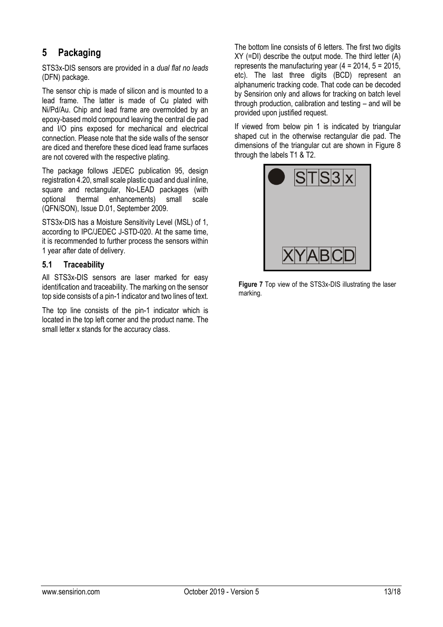# <span id="page-12-0"></span>**5 Packaging**

STS3x-DIS sensors are provided in a *dual flat no leads* (DFN) package.

The sensor chip is made of silicon and is mounted to a lead frame. The latter is made of Cu plated with Ni/Pd/Au. Chip and lead frame are overmolded by an epoxy-based mold compound leaving the central die pad and I/O pins exposed for mechanical and electrical connection. Please note that the side walls of the sensor are diced and therefore these diced lead frame surfaces are not covered with the respective plating.

The package follows JEDEC publication 95, design registration 4.20, small scale plastic quad and dual inline, square and rectangular, No-LEAD packages (with optional thermal enhancements) small scale (QFN/SON), Issue D.01, September 2009.

STS3x-DIS has a Moisture Sensitivity Level (MSL) of 1, according to IPC/JEDEC J-STD-020. At the same time, it is recommended to further process the sensors within 1 year after date of delivery.

# **5.1 Traceability**

All STS3x-DIS sensors are laser marked for easy identification and traceability. The marking on the sensor top side consists of a pin-1 indicator and two lines of text.

The top line consists of the pin-1 indicator which is located in the top left corner and the product name. The small letter x stands for the accuracy class.

The bottom line consists of 6 letters. The first two digits XY (=DI) describe the output mode. The third letter (A) represents the manufacturing year  $(4 = 2014, 5 = 2015,$ etc). The last three digits (BCD) represent an alphanumeric tracking code. That code can be decoded by Sensirion only and allows for tracking on batch level through production, calibration and testing – and will be provided upon justified request.

If viewed from below pin 1 is indicated by triangular shaped cut in the otherwise rectangular die pad. The dimensions of the triangular cut are shown in [Figure 8](#page-13-0) through the labels T1 & T2.



**Figure 7** Top view of the STS3x-DIS illustrating the laser marking.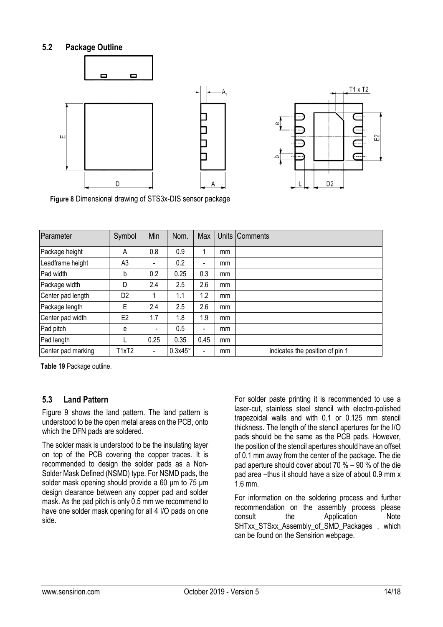# **5.2 Package Outline**



<span id="page-13-0"></span>**Figure 8** Dimensional drawing of STS3x-DIS sensor package

| Parameter          | Symbol         | Min                          | Nom.           | Max                      |    | Units Comments                  |
|--------------------|----------------|------------------------------|----------------|--------------------------|----|---------------------------------|
| Package height     | A              | 0.8                          | 0.9            |                          | mm |                                 |
| Leadframe height   | A <sub>3</sub> |                              | 0.2            | -                        | mm |                                 |
| Pad width          | b              | 0.2                          | 0.25           | 0.3                      | mm |                                 |
| Package width      | D              | 2.4                          | 2.5            | 2.6                      | mm |                                 |
| Center pad length  | D <sub>2</sub> |                              | 1.1            | 1.2                      | mm |                                 |
| Package length     | E              | 2.4                          | 2.5            | 2.6                      | mm |                                 |
| Center pad width   | E <sub>2</sub> | 1.7                          | 1.8            | 1.9                      | mm |                                 |
| Pad pitch          | e              | $\overline{\phantom{a}}$     | 0.5            | $\overline{\phantom{a}}$ | mm |                                 |
| Pad length         |                | 0.25                         | 0.35           | 0.45                     | mm |                                 |
| Center pad marking | T1xT2          | $\qquad \qquad \blacksquare$ | $0.3x45^\circ$ | $\blacksquare$           | mm | indicates the position of pin 1 |

<span id="page-13-1"></span>**Table 19** Package outline.

#### **5.3 Land Pattern**

[Figure 9](#page-14-1) shows the land pattern. The land pattern is understood to be the open metal areas on the PCB, onto which the DFN pads are soldered.

The solder mask is understood to be the insulating layer on top of the PCB covering the copper traces. It is recommended to design the solder pads as a Non-Solder Mask Defined (NSMD) type. For NSMD pads, the solder mask opening should provide a 60 μm to 75 μm design clearance between any copper pad and solder mask. As the pad pitch is only 0.5 mm we recommend to have one solder mask opening for all 4 I/O pads on one side.

For solder paste printing it is recommended to use a laser-cut, stainless steel stencil with electro-polished trapezoidal walls and with 0.1 or 0.125 mm stencil thickness. The length of the stencil apertures for the I/O pads should be the same as the PCB pads. However, the position of the stencil apertures should have an offset of 0.1 mm away from the center of the package. The die pad aperture should cover about 70 % – 90 % of the die pad area –thus it should have a size of about 0.9 mm x 1.6 mm.

For information on the soldering process and further recommendation on the assembly process please consult the Application Note SHTxx STSxx Assembly of SMD Packages , which can be found on the Sensirion webpage.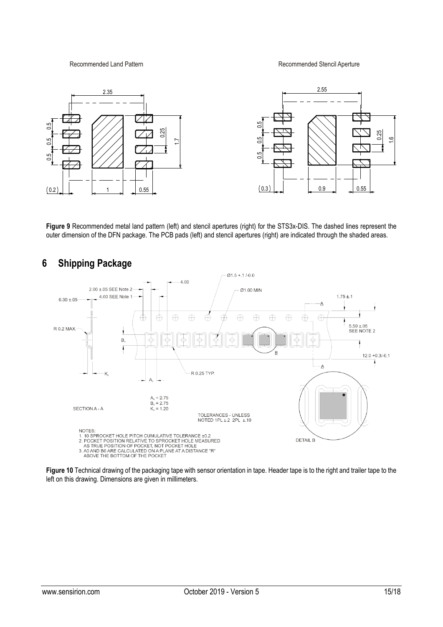Recommended Land Pattern **Recommended Stencil Aperture** 



<span id="page-14-1"></span>**Figure 9** Recommended metal land pattern (left) and stencil apertures (right) for the STS3x-DIS. The dashed lines represent the outer dimension of the DFN package. The PCB pads (left) and stencil apertures (right) are indicated through the shaded areas.



**Figure 10** Technical drawing of the packaging tape with sensor orientation in tape. Header tape is to the right and trailer tape to the left on this drawing. Dimensions are given in millimeters.

# <span id="page-14-0"></span>**6 Shipping Package**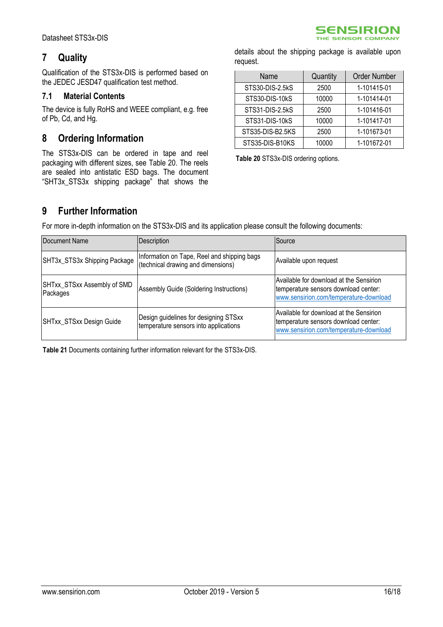# <span id="page-15-0"></span>**7 Quality**

Qualification of the STS3x-DIS is performed based on the JEDEC JESD47 qualification test method.

# **7.1 Material Contents**

The device is fully RoHS and WEEE compliant, e.g. free of Pb, Cd, and Hg.

# <span id="page-15-1"></span>**8 Ordering Information**

The STS3x-DIS can be ordered in tape and reel packaging with different sizes, see [Table 20.](#page-15-3) The reels are sealed into antistatic ESD bags. The document "SHT3x\_STS3x shipping package" that shows the

details about the shipping package is available upon request.

**SENSIRION** THE SENSOR COMPANY

| Name             | Quantity | <b>Order Number</b> |
|------------------|----------|---------------------|
| STS30-DIS-2.5kS  | 2500     | 1-101415-01         |
| STS30-DIS-10kS   | 10000    | 1-101414-01         |
| STS31-DIS-2.5kS  | 2500     | 1-101416-01         |
| STS31-DIS-10kS   | 10000    | 1-101417-01         |
| STS35-DIS-B2.5KS | 2500     | 1-101673-01         |
| STS35-DIS-B10KS  | 10000    | 1-101672-01         |

<span id="page-15-3"></span>**Table 20** STS3x-DIS ordering options.

# <span id="page-15-2"></span>**9 Further Information**

For more in-depth information on the STS3x-DIS and its application please consult the following documents:

| Document Name                           | Description                                                                       | Source                                                                                                                    |  |  |
|-----------------------------------------|-----------------------------------------------------------------------------------|---------------------------------------------------------------------------------------------------------------------------|--|--|
| SHT3x_STS3x Shipping Package            | Information on Tape, Reel and shipping bags<br>(technical drawing and dimensions) | Available upon request                                                                                                    |  |  |
| SHTxx_STSxx Assembly of SMD<br>Packages | Assembly Guide (Soldering Instructions)                                           | Available for download at the Sensirion<br>temperature sensors download center:<br>www.sensirion.com/temperature-download |  |  |
| SHTxx_STSxx Design Guide                | Design guidelines for designing STSxx<br>temperature sensors into applications    | Available for download at the Sensirion<br>temperature sensors download center:<br>www.sensirion.com/temperature-download |  |  |

**Table 21** Documents containing further information relevant for the STS3x-DIS.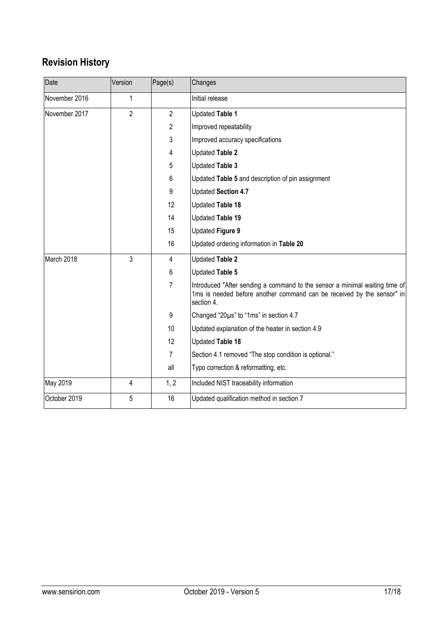# **Revision History**

| Date          | Version        | Page(s)        | Changes                                                                                                                                                             |
|---------------|----------------|----------------|---------------------------------------------------------------------------------------------------------------------------------------------------------------------|
| November 2016 | $\mathbf 1$    |                | Initial release                                                                                                                                                     |
| November 2017 | $\overline{2}$ | $\overline{2}$ | Updated Table 1                                                                                                                                                     |
|               |                | 2              | Improved repeatability                                                                                                                                              |
|               |                | 3              | Improved accuracy specifications                                                                                                                                    |
|               |                | 4              | Updated Table 2                                                                                                                                                     |
|               |                | 5              | <b>Updated Table 3</b>                                                                                                                                              |
|               |                | 6              | Updated Table 5 and description of pin assignment                                                                                                                   |
|               |                | 9              | Updated Section 4.7                                                                                                                                                 |
|               |                | 12             | Updated Table 18                                                                                                                                                    |
|               |                | 14             | Updated Table 19                                                                                                                                                    |
|               |                | 15             | Updated Figure 9                                                                                                                                                    |
|               |                | 16             | Updated ordering information in Table 20                                                                                                                            |
| March 2018    | 3              | 4              | Updated Table 2                                                                                                                                                     |
|               |                | 6              | Updated Table 5                                                                                                                                                     |
|               |                | 7              | Introduced "After sending a command to the sensor a minimal waiting time of<br>1ms is needed before another command can be received by the sensor" in<br>section 4. |
|               |                | 9              | Changed "20µs" to "1ms" in section 4.7                                                                                                                              |
|               |                | 10             | Updated explanation of the heater in section 4.9                                                                                                                    |
|               |                | 12             | Updated Table 18                                                                                                                                                    |
|               |                | 7              | Section 4.1 removed "The stop condition is optional."                                                                                                               |
|               |                | all            | Typo correction & reformatting, etc.                                                                                                                                |
| May 2019      | 4              | 1, 2           | Included NIST traceability information                                                                                                                              |
| October 2019  | 5              | 16             | Updated qualification method in section 7                                                                                                                           |